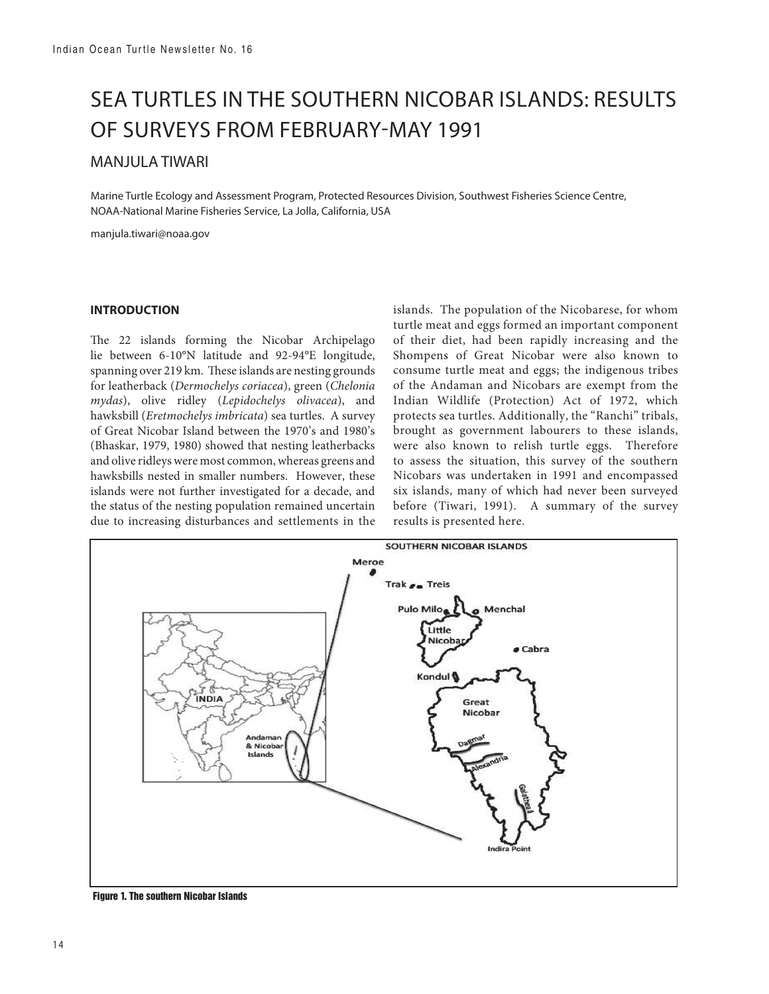# SEA TURTLES IN THE SOUTHERN NICOBAR ISLANDS: RESULTS OF SURVEYS FROM FEBRUARY-MAY 1991

## MANJULA TIWARI

Marine Turtle Ecology and Assessment Program, Protected Resources Division, Southwest Fisheries Science Centre, NOAA-National Marine Fisheries Service, La Jolla, California, USA

manjula.tiwari@noaa.gov

## **INTRODUCTION**

The 22 islands forming the Nicobar Archipelago lie between 6-10°N latitude and 92-94°E longitude, spanning over 219 km. These islands are nesting grounds for leatherback (*Dermochelys coriacea*), green (*Chelonia mydas*), olive ridley (*Lepidochelys olivacea*), and hawksbill (*Eretmochelys imbricata*) sea turtles. A survey of Great Nicobar Island between the 1970's and 1980's (Bhaskar, 1979, 1980) showed that nesting leatherbacks and olive ridleys were most common, whereas greens and hawksbills nested in smaller numbers. However, these islands were not further investigated for a decade, and the status of the nesting population remained uncertain due to increasing disturbances and settlements in the islands. The population of the Nicobarese, for whom turtle meat and eggs formed an important component of their diet, had been rapidly increasing and the Shompens of Great Nicobar were also known to consume turtle meat and eggs; the indigenous tribes of the Andaman and Nicobars are exempt from the Indian Wildlife (Protection) Act of 1972, which protects sea turtles. Additionally, the "Ranchi" tribals, brought as government labourers to these islands, were also known to relish turtle eggs. Therefore to assess the situation, this survey of the southern Nicobars was undertaken in 1991 and encompassed six islands, many of which had never been surveyed before (Tiwari, 1991). A summary of the survey results is presented here.



 **Figure 1. The southern Nicobar Islands**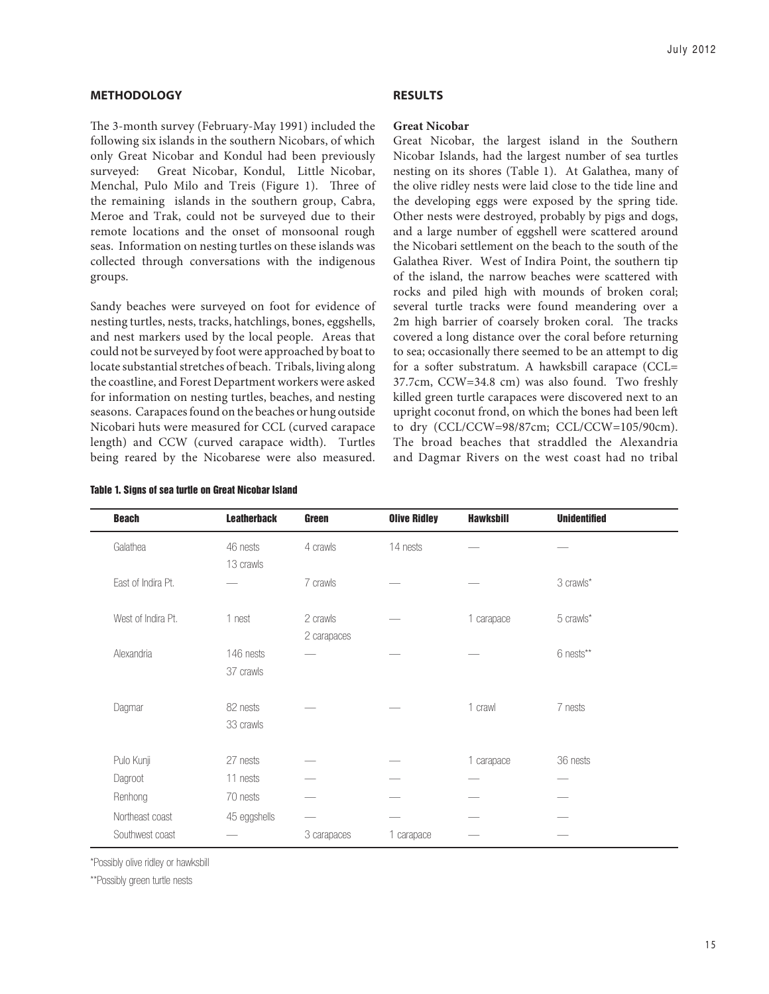#### **METHODOLOGY**

The 3-month survey (February-May 1991) included the following six islands in the southern Nicobars, of which only Great Nicobar and Kondul had been previously surveyed: Great Nicobar, Kondul, Little Nicobar, Menchal, Pulo Milo and Treis (Figure 1). Three of the remaining islands in the southern group, Cabra, Meroe and Trak, could not be surveyed due to their remote locations and the onset of monsoonal rough seas. Information on nesting turtles on these islands was collected through conversations with the indigenous groups.

Sandy beaches were surveyed on foot for evidence of nesting turtles, nests, tracks, hatchlings, bones, eggshells, and nest markers used by the local people. Areas that could not be surveyed by foot were approached by boat to locate substantial stretches of beach. Tribals, living along the coastline, and Forest Department workers were asked for information on nesting turtles, beaches, and nesting seasons. Carapaces found on the beaches or hung outside Nicobari huts were measured for CCL (curved carapace length) and CCW (curved carapace width). Turtles being reared by the Nicobarese were also measured.

#### **RESULTS**

#### **Great Nicobar**

Great Nicobar, the largest island in the Southern Nicobar Islands, had the largest number of sea turtles nesting on its shores (Table 1). At Galathea, many of the olive ridley nests were laid close to the tide line and the developing eggs were exposed by the spring tide. Other nests were destroyed, probably by pigs and dogs, and a large number of eggshell were scattered around the Nicobari settlement on the beach to the south of the Galathea River. West of Indira Point, the southern tip of the island, the narrow beaches were scattered with rocks and piled high with mounds of broken coral; several turtle tracks were found meandering over a 2m high barrier of coarsely broken coral. The tracks covered a long distance over the coral before returning to sea; occasionally there seemed to be an attempt to dig for a softer substratum. A hawksbill carapace (CCL= 37.7cm, CCW=34.8 cm) was also found. Two freshly killed green turtle carapaces were discovered next to an upright coconut frond, on which the bones had been left to dry (CCL/CCW=98/87cm; CCL/CCW=105/90cm). The broad beaches that straddled the Alexandria and Dagmar Rivers on the west coast had no tribal

| <b>Beach</b>       | <b>Leatherback</b>     | <b>Green</b>            | <b>Olive Ridley</b> | <b>Hawksbill</b> | <b>Unidentified</b> |
|--------------------|------------------------|-------------------------|---------------------|------------------|---------------------|
| Galathea           | 46 nests<br>13 crawls  | 4 crawls                | 14 nests            |                  |                     |
| East of Indira Pt. |                        | 7 crawls                |                     |                  | 3 crawls*           |
| West of Indira Pt. | 1 nest                 | 2 crawls<br>2 carapaces |                     | 1 carapace       | 5 crawls*           |
| Alexandria         | 146 nests<br>37 crawls |                         |                     |                  | 6 nests**           |
| Dagmar             | 82 nests<br>33 crawls  |                         |                     | 1 crawl          | 7 nests             |
| Pulo Kunji         | 27 nests               |                         |                     | 1 carapace       | 36 nests            |
| Dagroot            | 11 nests               |                         |                     |                  |                     |
| Renhong            | 70 nests               |                         |                     |                  |                     |
| Northeast coast    | 45 eggshells           |                         |                     |                  |                     |
| Southwest coast    |                        | 3 carapaces             | 1 carapace          |                  |                     |

**Table 1. Signs of sea turtle on Great Nicobar Island** 

\*Possibly olive ridley or hawksbill

\*\*Possibly green turtle nests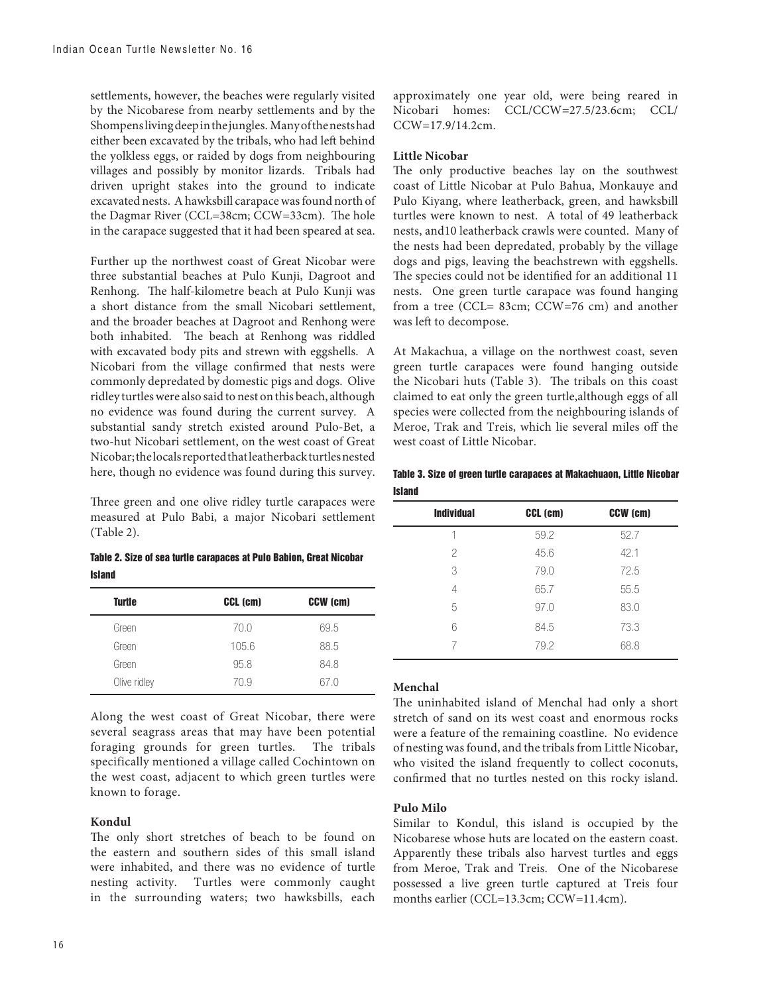settlements, however, the beaches were regularly visited by the Nicobarese from nearby settlements and by the Shompens living deep in the jungles. Many of the nests had either been excavated by the tribals, who had left behind the yolkless eggs, or raided by dogs from neighbouring villages and possibly by monitor lizards. Tribals had driven upright stakes into the ground to indicate excavated nests. A hawksbill carapace was found north of the Dagmar River (CCL=38cm; CCW=33cm). The hole in the carapace suggested that it had been speared at sea.

Further up the northwest coast of Great Nicobar were three substantial beaches at Pulo Kunji, Dagroot and Renhong. The half-kilometre beach at Pulo Kunji was a short distance from the small Nicobari settlement, and the broader beaches at Dagroot and Renhong were both inhabited. The beach at Renhong was riddled with excavated body pits and strewn with eggshells. A Nicobari from the village confirmed that nests were commonly depredated by domestic pigs and dogs. Olive ridley turtles were also said to nest on this beach, although no evidence was found during the current survey. A substantial sandy stretch existed around Pulo-Bet, a two-hut Nicobari settlement, on the west coast of Great Nicobar; the locals reported that leatherback turtles nested here, though no evidence was found during this survey.

Three green and one olive ridley turtle carapaces were measured at Pulo Babi, a major Nicobari settlement (Table 2).

**Table 2. Size of sea turtle carapaces at Pulo Babion, Great Nicobar Island** 

| <b>Turtle</b> | CCL (cm) | CCW (cm) |
|---------------|----------|----------|
| Green         | 70.0     | 69.5     |
| Green         | 105.6    | 88.5     |
| Green         | 95.8     | 84.8     |
| Olive ridley  | 70.9     | 67.0     |

Along the west coast of Great Nicobar, there were several seagrass areas that may have been potential foraging grounds for green turtles. The tribals specifically mentioned a village called Cochintown on the west coast, adjacent to which green turtles were known to forage.

## **Kondul**

The only short stretches of beach to be found on the eastern and southern sides of this small island were inhabited, and there was no evidence of turtle nesting activity. Turtles were commonly caught in the surrounding waters; two hawksbills, each

approximately one year old, were being reared in Nicobari homes: CCL/CCW=27.5/23.6cm; CCL/ CCW=17.9/14.2cm.

## **Little Nicobar**

The only productive beaches lay on the southwest coast of Little Nicobar at Pulo Bahua, Monkauye and Pulo Kiyang, where leatherback, green, and hawksbill turtles were known to nest. A total of 49 leatherback nests, and10 leatherback crawls were counted. Many of the nests had been depredated, probably by the village dogs and pigs, leaving the beachstrewn with eggshells. The species could not be identified for an additional 11 nests. One green turtle carapace was found hanging from a tree (CCL= 83cm; CCW=76 cm) and another was left to decompose.

At Makachua, a village on the northwest coast, seven green turtle carapaces were found hanging outside the Nicobari huts (Table 3). The tribals on this coast claimed to eat only the green turtle,although eggs of all species were collected from the neighbouring islands of Meroe, Trak and Treis, which lie several miles off the west coast of Little Nicobar.

**Table 3. Size of green turtle carapaces at Makachuaon, Little Nicobar Island** 

| <b>Individual</b> | CCL (cm) | CCW (cm) |
|-------------------|----------|----------|
| 1                 | 59.2     | 52.7     |
| 2                 | 45.6     | 42.1     |
| 3                 | 79.0     | 72.5     |
| 4                 | 65.7     | 55.5     |
| 5                 | 97.0     | 83.0     |
| 6                 | 84.5     | 73.3     |
| 7                 | 79.2     | 68.8     |

#### **Menchal**

The uninhabited island of Menchal had only a short stretch of sand on its west coast and enormous rocks were a feature of the remaining coastline. No evidence of nesting was found, and the tribals from Little Nicobar, who visited the island frequently to collect coconuts, confirmed that no turtles nested on this rocky island.

## **Pulo Milo**

Similar to Kondul, this island is occupied by the Nicobarese whose huts are located on the eastern coast. Apparently these tribals also harvest turtles and eggs from Meroe, Trak and Treis. One of the Nicobarese possessed a live green turtle captured at Treis four months earlier (CCL=13.3cm; CCW=11.4cm).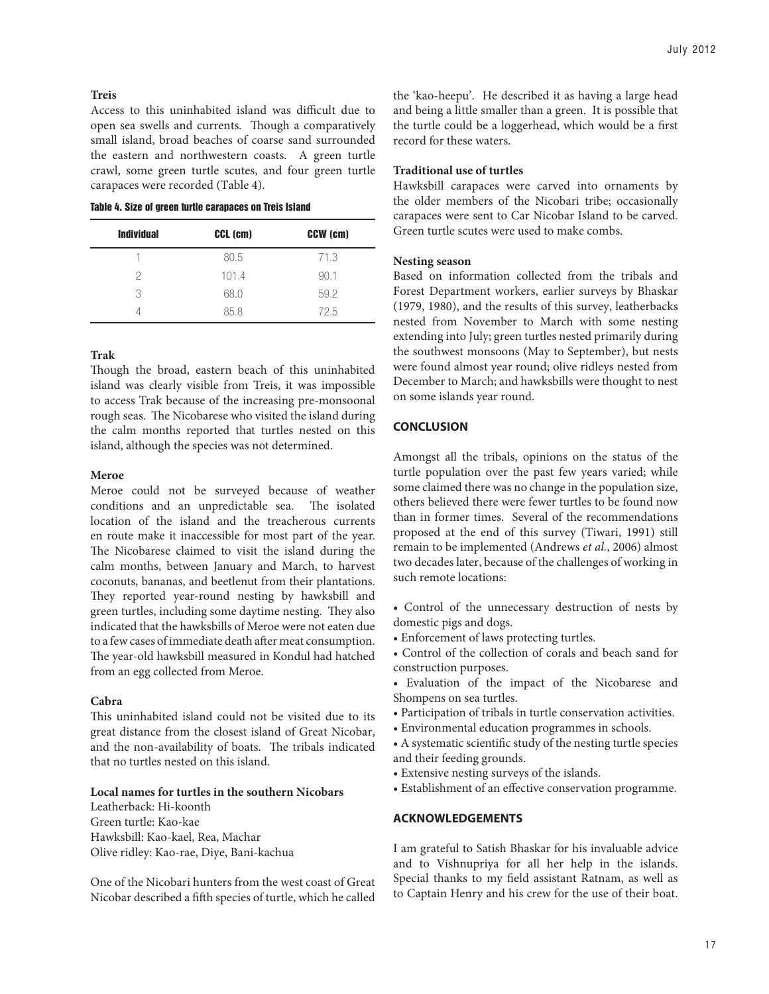#### **Treis**

Access to this uninhabited island was difficult due to open sea swells and currents. Though a comparatively small island, broad beaches of coarse sand surrounded the eastern and northwestern coasts. A green turtle crawl, some green turtle scutes, and four green turtle carapaces were recorded (Table 4).

**Table 4. Size of green turtle carapaces on Treis Island** 

| <b>Individual</b> | CCL (cm) | CCW (cm) |
|-------------------|----------|----------|
|                   | 80.5     | 71.3     |
| 2                 | 101.4    | 90.1     |
| 3                 | 68.0     | 59.2     |
|                   | 85.8     | 72.5     |

#### **Trak**

Though the broad, eastern beach of this uninhabited island was clearly visible from Treis, it was impossible to access Trak because of the increasing pre-monsoonal rough seas. The Nicobarese who visited the island during the calm months reported that turtles nested on this island, although the species was not determined.

#### **Meroe**

Meroe could not be surveyed because of weather conditions and an unpredictable sea. The isolated location of the island and the treacherous currents en route make it inaccessible for most part of the year. The Nicobarese claimed to visit the island during the calm months, between January and March, to harvest coconuts, bananas, and beetlenut from their plantations. They reported year-round nesting by hawksbill and green turtles, including some daytime nesting. They also indicated that the hawksbills of Meroe were not eaten due to a few cases of immediate death after meat consumption. The year-old hawksbill measured in Kondul had hatched from an egg collected from Meroe.

#### **Cabra**

This uninhabited island could not be visited due to its great distance from the closest island of Great Nicobar, and the non-availability of boats. The tribals indicated that no turtles nested on this island.

#### **Local names for turtles in the southern Nicobars**

Leatherback: Hi-koonth Green turtle: Kao-kae Hawksbill: Kao-kael, Rea, Machar Olive ridley: Kao-rae, Diye, Bani-kachua

One of the Nicobari hunters from the west coast of Great Nicobar described a fifth species of turtle, which he called the 'kao-heepu'. He described it as having a large head and being a little smaller than a green. It is possible that the turtle could be a loggerhead, which would be a first record for these waters.

#### **Traditional use of turtles**

Hawksbill carapaces were carved into ornaments by the older members of the Nicobari tribe; occasionally carapaces were sent to Car Nicobar Island to be carved. Green turtle scutes were used to make combs.

#### **Nesting season**

Based on information collected from the tribals and Forest Department workers, earlier surveys by Bhaskar (1979, 1980), and the results of this survey, leatherbacks nested from November to March with some nesting extending into July; green turtles nested primarily during the southwest monsoons (May to September), but nests were found almost year round; olive ridleys nested from December to March; and hawksbills were thought to nest on some islands year round.

#### **CONCLUSION**

Amongst all the tribals, opinions on the status of the turtle population over the past few years varied; while some claimed there was no change in the population size, others believed there were fewer turtles to be found now than in former times. Several of the recommendations proposed at the end of this survey (Tiwari, 1991) still remain to be implemented (Andrews *et al.*, 2006) almost two decades later, because of the challenges of working in such remote locations:

- Control of the unnecessary destruction of nests by domestic pigs and dogs.
- Enforcement of laws protecting turtles.
- Control of the collection of corals and beach sand for construction purposes.
- Evaluation of the impact of the Nicobarese and Shompens on sea turtles.
- Participation of tribals in turtle conservation activities.
- Environmental education programmes in schools.
- A systematic scientific study of the nesting turtle species and their feeding grounds.
- Extensive nesting surveys of the islands.
- Establishment of an effective conservation programme.

#### **ACKNOWLEDGEMENTS**

I am grateful to Satish Bhaskar for his invaluable advice and to Vishnupriya for all her help in the islands. Special thanks to my field assistant Ratnam, as well as to Captain Henry and his crew for the use of their boat.